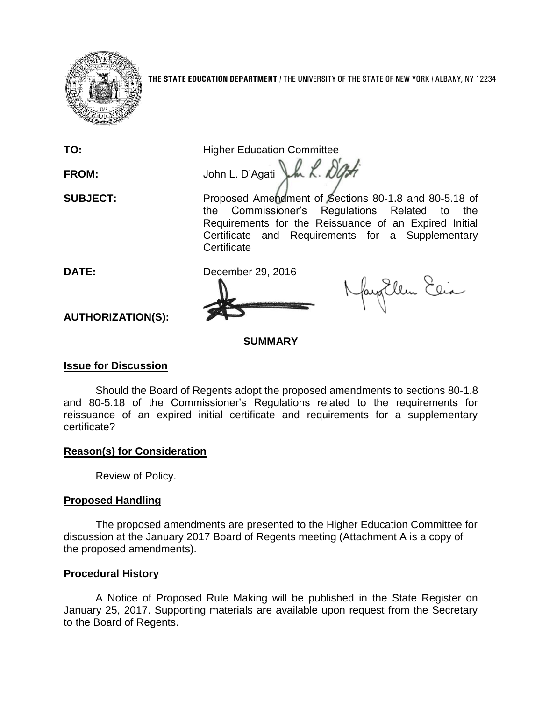

**THE STATE EDUCATION DEPARTMENT** / THE UNIVERSITY OF THE STATE OF NEW YORK / ALBANY, NY 12234

**TO:** Higher Education Committee

FROM: John L. D'Agati J.h. R. D'Art

**SUBJECT:** Proposed Amendment of Sections 80-1.8 and 80-5.18 of the Commissioner's Regulations Related to the Requirements for the Reissuance of an Expired Initial Certificate and Requirements for a Supplementary **Certificate** 



NayEllen Elia

**AUTHORIZATION(S):**

## **SUMMARY**

## **Issue for Discussion**

Should the Board of Regents adopt the proposed amendments to sections 80-1.8 and 80-5.18 of the Commissioner's Regulations related to the requirements for reissuance of an expired initial certificate and requirements for a supplementary certificate?

## **Reason(s) for Consideration**

Review of Policy.

# **Proposed Handling**

The proposed amendments are presented to the Higher Education Committee for discussion at the January 2017 Board of Regents meeting (Attachment A is a copy of the proposed amendments).

## **Procedural History**

A Notice of Proposed Rule Making will be published in the State Register on January 25, 2017. Supporting materials are available upon request from the Secretary to the Board of Regents.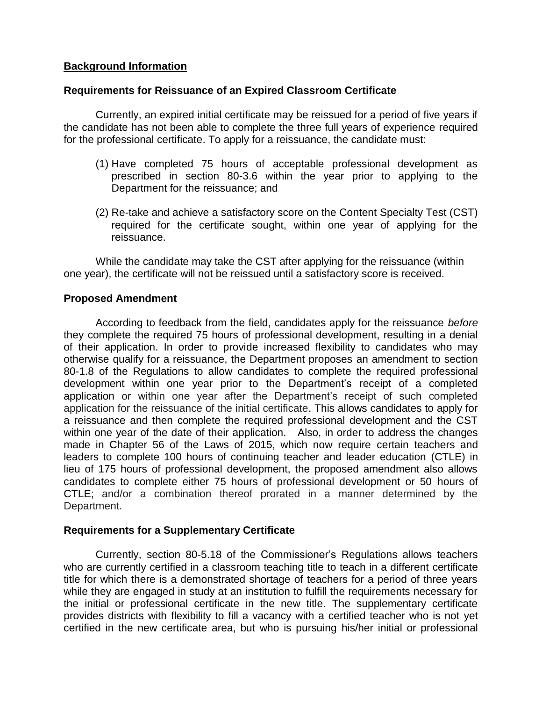## **Background Information**

## **Requirements for Reissuance of an Expired Classroom Certificate**

Currently, an expired initial certificate may be reissued for a period of five years if the candidate has not been able to complete the three full years of experience required for the professional certificate. To apply for a reissuance, the candidate must:

- (1) Have completed 75 hours of acceptable professional development as prescribed in section 80-3.6 within the year prior to applying to the Department for the reissuance; and
- (2) Re-take and achieve a satisfactory score on the Content Specialty Test (CST) required for the certificate sought, within one year of applying for the reissuance.

While the candidate may take the CST after applying for the reissuance (within one year), the certificate will not be reissued until a satisfactory score is received.

## **Proposed Amendment**

According to feedback from the field, candidates apply for the reissuance *before* they complete the required 75 hours of professional development, resulting in a denial of their application. In order to provide increased flexibility to candidates who may otherwise qualify for a reissuance, the Department proposes an amendment to section 80-1.8 of the Regulations to allow candidates to complete the required professional development within one year prior to the Department's receipt of a completed application or within one year after the Department's receipt of such completed application for the reissuance of the initial certificate. This allows candidates to apply for a reissuance and then complete the required professional development and the CST within one year of the date of their application. Also, in order to address the changes made in Chapter 56 of the Laws of 2015, which now require certain teachers and leaders to complete 100 hours of continuing teacher and leader education (CTLE) in lieu of 175 hours of professional development, the proposed amendment also allows candidates to complete either 75 hours of professional development or 50 hours of CTLE; and/or a combination thereof prorated in a manner determined by the Department.

### **Requirements for a Supplementary Certificate**

Currently, section 80-5.18 of the Commissioner's Regulations allows teachers who are currently certified in a classroom teaching title to teach in a different certificate title for which there is a demonstrated shortage of teachers for a period of three years while they are engaged in study at an institution to fulfill the requirements necessary for the initial or professional certificate in the new title. The supplementary certificate provides districts with flexibility to fill a vacancy with a certified teacher who is not yet certified in the new certificate area, but who is pursuing his/her initial or professional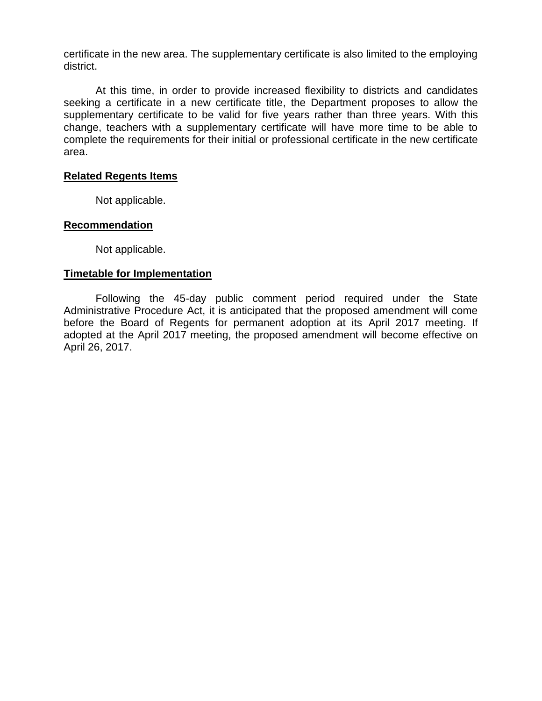certificate in the new area. The supplementary certificate is also limited to the employing district.

At this time, in order to provide increased flexibility to districts and candidates seeking a certificate in a new certificate title, the Department proposes to allow the supplementary certificate to be valid for five years rather than three years. With this change, teachers with a supplementary certificate will have more time to be able to complete the requirements for their initial or professional certificate in the new certificate area.

### **Related Regents Items**

Not applicable.

### **Recommendation**

Not applicable.

### **Timetable for Implementation**

Following the 45-day public comment period required under the State Administrative Procedure Act, it is anticipated that the proposed amendment will come before the Board of Regents for permanent adoption at its April 2017 meeting. If adopted at the April 2017 meeting, the proposed amendment will become effective on April 26, 2017.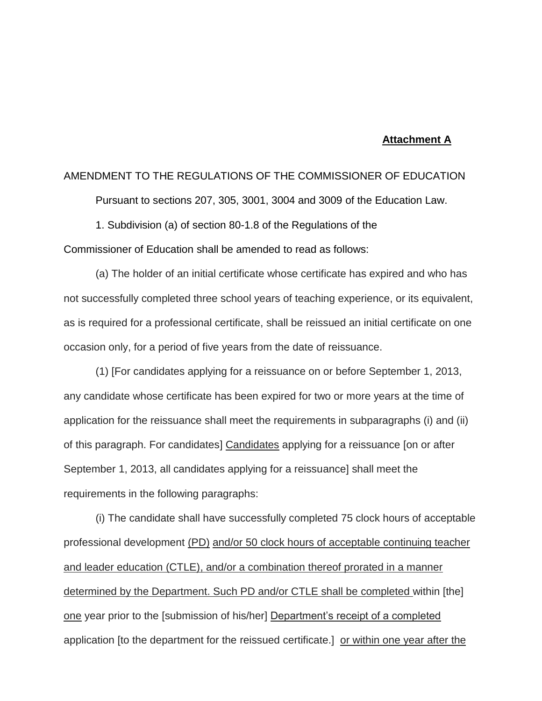#### **Attachment A**

### AMENDMENT TO THE REGULATIONS OF THE COMMISSIONER OF EDUCATION

Pursuant to sections 207, 305, 3001, 3004 and 3009 of the Education Law.

1. Subdivision (a) of section 80-1.8 of the Regulations of the

Commissioner of Education shall be amended to read as follows:

(a) The holder of an initial certificate whose certificate has expired and who has not successfully completed three school years of teaching experience, or its equivalent, as is required for a professional certificate, shall be reissued an initial certificate on one occasion only, for a period of five years from the date of reissuance.

(1) [For candidates applying for a reissuance on or before September 1, 2013, any candidate whose certificate has been expired for two or more years at the time of application for the reissuance shall meet the requirements in subparagraphs (i) and (ii) of this paragraph. For candidates] Candidates applying for a reissuance [on or after September 1, 2013, all candidates applying for a reissuance] shall meet the requirements in the following paragraphs:

(i) The candidate shall have successfully completed 75 clock hours of acceptable professional development (PD) and/or 50 clock hours of acceptable continuing teacher and leader education (CTLE), and/or a combination thereof prorated in a manner determined by the Department. Such PD and/or CTLE shall be completed within [the] one year prior to the [submission of his/her] Department's receipt of a completed application [to the department for the reissued certificate.] or within one year after the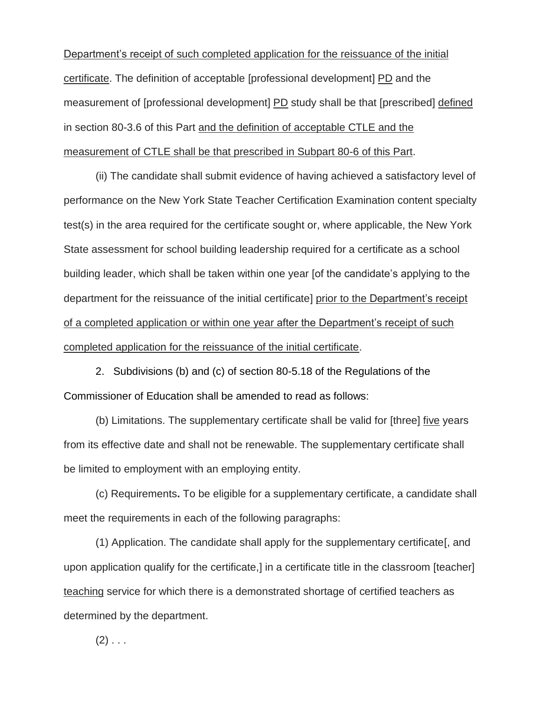Department's receipt of such completed application for the reissuance of the initial certificate. The definition of acceptable [professional development] PD and the measurement of [professional development] PD study shall be that [prescribed] defined in section 80-3.6 of this Part and the definition of acceptable CTLE and the measurement of CTLE shall be that prescribed in Subpart 80-6 of this Part.

(ii) The candidate shall submit evidence of having achieved a satisfactory level of performance on the New York State Teacher Certification Examination content specialty test(s) in the area required for the certificate sought or, where applicable, the New York State assessment for school building leadership required for a certificate as a school building leader, which shall be taken within one year [of the candidate's applying to the department for the reissuance of the initial certificate] prior to the Department's receipt of a completed application or within one year after the Department's receipt of such completed application for the reissuance of the initial certificate.

2. Subdivisions (b) and (c) of section 80-5.18 of the Regulations of the Commissioner of Education shall be amended to read as follows:

(b) Limitations. The supplementary certificate shall be valid for [three] five years from its effective date and shall not be renewable. The supplementary certificate shall be limited to employment with an employing entity.

(c) Requirements**.** To be eligible for a supplementary certificate, a candidate shall meet the requirements in each of the following paragraphs:

(1) Application. The candidate shall apply for the supplementary certificate[, and upon application qualify for the certificate,] in a certificate title in the classroom [teacher] teaching service for which there is a demonstrated shortage of certified teachers as determined by the department.

 $(2)$  . . .